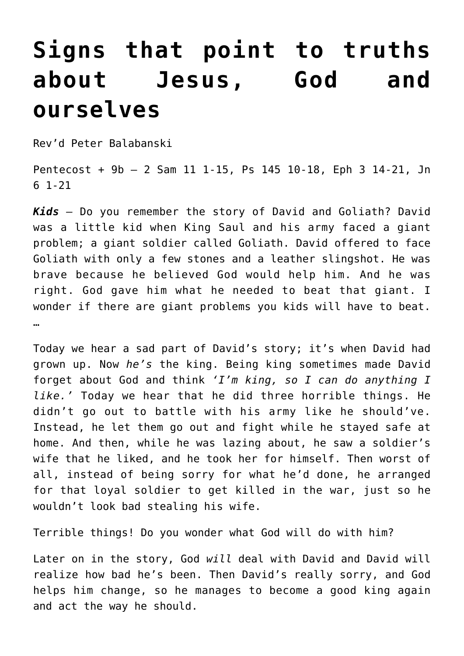## **[Signs that point to truths](https://stjohnsadelaide.org.au/signs-that-point-to-truths-about-jesus-god-and-ourselves/) [about Jesus, God and](https://stjohnsadelaide.org.au/signs-that-point-to-truths-about-jesus-god-and-ourselves/) [ourselves](https://stjohnsadelaide.org.au/signs-that-point-to-truths-about-jesus-god-and-ourselves/)**

Rev'd Peter Balabanski

Pentecost + 9b – 2 Sam 11 1-15, Ps 145 10-18, Eph 3 14-21, Jn 6 1-21

Kids - Do you remember the story of David and Goliath? David was a little kid when King Saul and his army faced a giant problem; a giant soldier called Goliath. David offered to face Goliath with only a few stones and a leather slingshot. He was brave because he believed God would help him. And he was right. God gave him what he needed to beat that giant. I wonder if there are giant problems you kids will have to beat. …

Today we hear a sad part of David's story; it's when David had grown up. Now *he's* the king. Being king sometimes made David forget about God and think *'I'm king, so I can do anything I like.'* Today we hear that he did three horrible things. He didn't go out to battle with his army like he should've. Instead, he let them go out and fight while he stayed safe at home. And then, while he was lazing about, he saw a soldier's wife that he liked, and he took her for himself. Then worst of all, instead of being sorry for what he'd done, he arranged for that loyal soldier to get killed in the war, just so he wouldn't look bad stealing his wife.

Terrible things! Do you wonder what God will do with him?

Later on in the story, God *will* deal with David and David will realize how bad he's been. Then David's really sorry, and God helps him change, so he manages to become a good king again and act the way he should.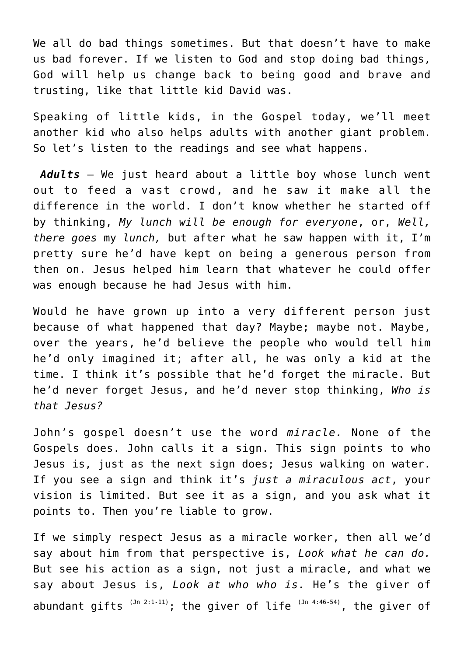We all do bad things sometimes. But that doesn't have to make us bad forever. If we listen to God and stop doing bad things, God will help us change back to being good and brave and trusting, like that little kid David was.

Speaking of little kids, in the Gospel today, we'll meet another kid who also helps adults with another giant problem. So let's listen to the readings and see what happens.

*Adults* – We just heard about a little boy whose lunch went out to feed a vast crowd, and he saw it make all the difference in the world. I don't know whether he started off by thinking, *My lunch will be enough for everyone*, or, *Well, there goes* my *lunch,* but after what he saw happen with it, I'm pretty sure he'd have kept on being a generous person from then on. Jesus helped him learn that whatever he could offer was enough because he had Jesus with him.

Would he have grown up into a very different person just because of what happened that day? Maybe; maybe not. Maybe, over the years, he'd believe the people who would tell him he'd only imagined it; after all, he was only a kid at the time. I think it's possible that he'd forget the miracle. But he'd never forget Jesus, and he'd never stop thinking, *Who is that Jesus?*

John's gospel doesn't use the word *miracle.* None of the Gospels does. John calls it a sign. This sign points to who Jesus is, just as the next sign does; Jesus walking on water. If you see a sign and think it's *just a miraculous act*, your vision is limited. But see it as a sign, and you ask what it points to. Then you're liable to grow.

If we simply respect Jesus as a miracle worker, then all we'd say about him from that perspective is, *Look what he can do.* But see his action as a sign, not just a miracle, and what we say about Jesus is, *Look at who who is.* He's the giver of abundant gifts  $(3n-2:1-11)$ ; the giver of life  $(3n-4:46-54)$ , the giver of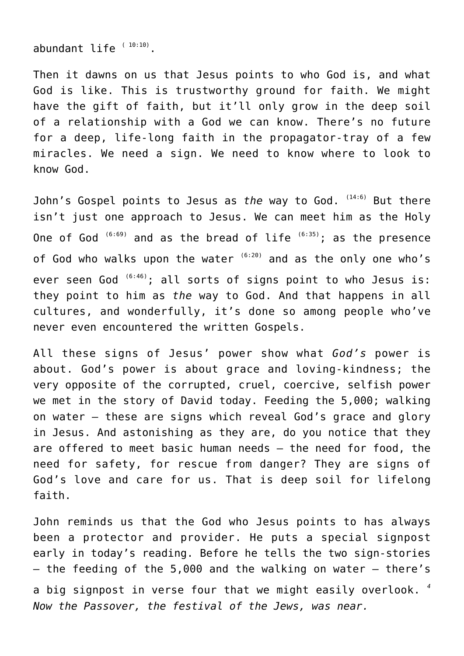abundant life  $(10:10)$ .

Then it dawns on us that Jesus points to who God is, and what God is like. This is trustworthy ground for faith. We might have the gift of faith, but it'll only grow in the deep soil of a relationship with a God we can know. There's no future for a deep, life-long faith in the propagator-tray of a few miracles. We need a sign. We need to know where to look to know God.

John's Gospel points to Jesus as *the* way to God. <sup>(14:6)</sup> But there isn't just one approach to Jesus. We can meet him as the Holy One of God  $(6:69)$  and as the bread of life  $(6:35)$ ; as the presence of God who walks upon the water  $(6:20)$  and as the only one who's ever seen God  $(6:46)$ ; all sorts of signs point to who Jesus is: they point to him as *the* way to God. And that happens in all cultures, and wonderfully, it's done so among people who've never even encountered the written Gospels.

All these signs of Jesus' power show what *God's* power is about. God's power is about grace and loving-kindness; the very opposite of the corrupted, cruel, coercive, selfish power we met in the story of David today. Feeding the 5,000; walking on water – these are signs which reveal God's grace and glory in Jesus. And astonishing as they are, do you notice that they are offered to meet basic human needs – the need for food, the need for safety, for rescue from danger? They are signs of God's love and care for us. That is deep soil for lifelong faith.

John reminds us that the God who Jesus points to has always been a protector and provider. He puts a special signpost early in today's reading. Before he tells the two sign-stories – the feeding of the 5,000 and the walking on water – there's a big signpost in verse four that we might easily overlook. *<sup>4</sup> Now the Passover, the festival of the Jews, was near.*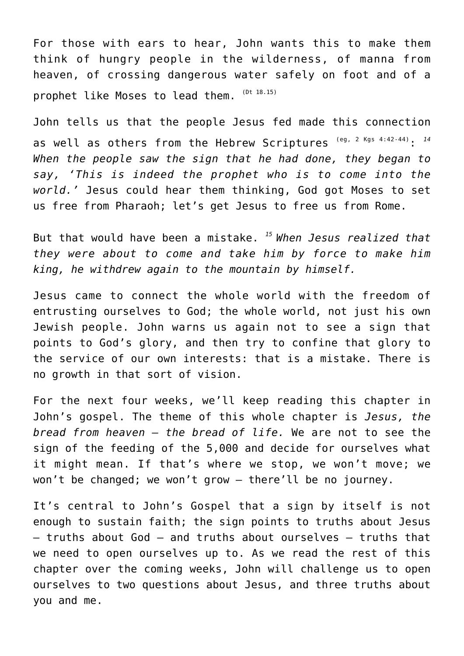For those with ears to hear, John wants this to make them think of hungry people in the wilderness, of manna from heaven, of crossing dangerous water safely on foot and of a prophet like Moses to lead them. (Dt 18.15)

John tells us that the people Jesus fed made this connection as well as others from the Hebrew Scriptures (eg, 2 Kgs 4:42-44): 14 *When the people saw the sign that he had done, they began to say, 'This is indeed the prophet who is to come into the world.'* Jesus could hear them thinking, God got Moses to set us free from Pharaoh; let's get Jesus to free us from Rome.

But that would have been a mistake. *<sup>15</sup>When Jesus realized that they were about to come and take him by force to make him king, he withdrew again to the mountain by himself.*

Jesus came to connect the whole world with the freedom of entrusting ourselves to God; the whole world, not just his own Jewish people. John warns us again not to see a sign that points to God's glory, and then try to confine that glory to the service of our own interests: that is a mistake. There is no growth in that sort of vision.

For the next four weeks, we'll keep reading this chapter in John's gospel. The theme of this whole chapter is *Jesus, the bread from heaven – the bread of life.* We are not to see the sign of the feeding of the 5,000 and decide for ourselves what it might mean. If that's where we stop, we won't move; we won't be changed; we won't grow – there'll be no journey.

It's central to John's Gospel that a sign by itself is not enough to sustain faith; the sign points to truths about Jesus – truths about God – and truths about ourselves – truths that we need to open ourselves up to. As we read the rest of this chapter over the coming weeks, John will challenge us to open ourselves to two questions about Jesus, and three truths about you and me.